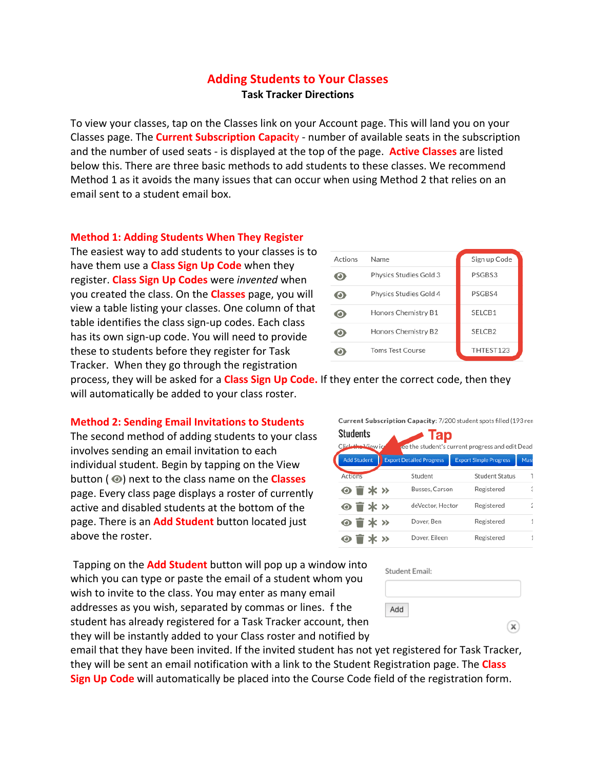## **Adding Students to Your Classes**

**Task Tracker Directions**

To view your classes, tap on the Classes link on your Account page. This will land you on your Classes page. The **Current Subscription Capacit**y - number of available seats in the subscription and the number of used seats - is displayed at the top of the page. **Active Classes** are listed below this. There are three basic methods to add students to these classes. We recommend Method 1 as it avoids the many issues that can occur when using Method 2 that relies on an email sent to a student email box.

## **Method 1: Adding Students When They Register**

The easiest way to add students to your classes is to have them use a **Class Sign Up Code** when they register. **Class Sign Up Codes** were *invented* when you created the class. On the **Classes** page, you will view a table listing your classes. One column of that table identifies the class sign-up codes. Each class has its own sign-up code. You will need to provide these to students before they register for Task Tracker. When they go through the registration



process, they will be asked for a **Class Sign Up Code.** If they enter the correct code, then they will automatically be added to your class roster.

## **Method 2: Sending Email Invitations to Students**

The second method of adding students to your class involves sending an email invitation to each individual student. Begin by tapping on the View button ( $\odot$ ) next to the class name on the **Classes** page. Every class page displays a roster of currently active and disabled students at the bottom of the page. There is an **Add Student** button located just above the roster.

Tapping on the **Add Student** button will pop up a window into which you can type or paste the email of a student whom you wish to invite to the class. You may enter as many email addresses as you wish, separated by commas or lines. f the student has already registered for a Task Tracker account, then they will be instantly added to your Class roster and notified by

email that they have been invited. If the invited student has not yet registered for Task Tracker, they will be sent an email notification with a link to the Student Registration page. The **Class Sign Up Code** will automatically be placed into the Course Code field of the registration form.

Current Subscription Capacity: 7/200 student spots filled (193 ren **Ctudonte**  $\sqrt{10}$ 

| ouuunu<br>ıap                                                         |  |                                 |  |                               |             |  |  |  |  |  |
|-----------------------------------------------------------------------|--|---------------------------------|--|-------------------------------|-------------|--|--|--|--|--|
| Click the View io<br>see the student's current progress and edit Dead |  |                                 |  |                               |             |  |  |  |  |  |
| <b>Add Student</b>                                                    |  | <b>Export Detailed Progress</b> |  | <b>Export Simple Progress</b> | <b>Mass</b> |  |  |  |  |  |
| Actions                                                               |  | Student                         |  | <b>Student Status</b>         |             |  |  |  |  |  |
| $\odot$ $\mathbf{r}$ $\ast$ »                                         |  | Busses, Carson                  |  | Registered                    | 5           |  |  |  |  |  |
| $\odot$ $\mathbf{r}$ $\ast$ »                                         |  | deVector, Hector                |  | Registered                    |             |  |  |  |  |  |
| $\odot$ $\mathbf{r}$ $\ast$ $\times$                                  |  | Dover, Ben                      |  | Registered                    |             |  |  |  |  |  |
| <b>⊙ 〒*</b> ≫                                                         |  | Dover, Eileen                   |  | Registered                    |             |  |  |  |  |  |

Student Email:

 $\mathbf{x}$ 

Add